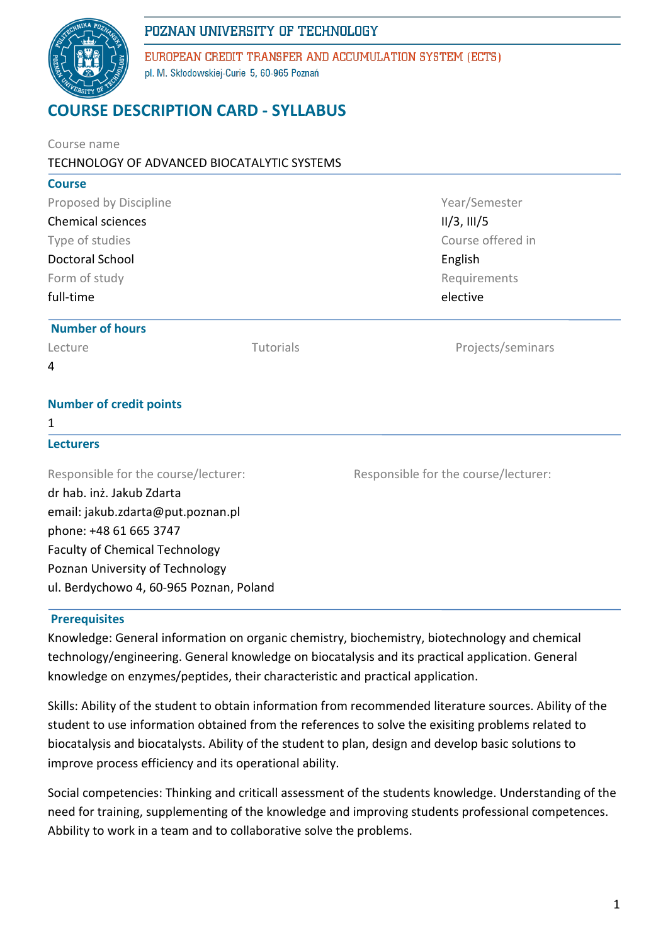

EUROPEAN CREDIT TRANSFER AND ACCUMULATION SYSTEM (ECTS) pl. M. Skłodowskiej-Curie 5, 60-965 Poznań

# **COURSE DESCRIPTION CARD - SYLLABUS**

| Course name                                                           |           |                                                   |  |                            |  |                          |  |
|-----------------------------------------------------------------------|-----------|---------------------------------------------------|--|----------------------------|--|--------------------------|--|
| TECHNOLOGY OF ADVANCED BIOCATALYTIC SYSTEMS                           |           |                                                   |  |                            |  |                          |  |
| <b>Course</b>                                                         |           |                                                   |  |                            |  |                          |  |
| Proposed by Discipline<br><b>Chemical sciences</b><br>Type of studies |           | Year/Semester<br>II/3, III/5<br>Course offered in |  |                            |  |                          |  |
|                                                                       |           |                                                   |  | <b>Doctoral School</b>     |  | English                  |  |
|                                                                       |           |                                                   |  | Form of study<br>full-time |  | Requirements<br>elective |  |
| <b>Number of hours</b>                                                |           |                                                   |  |                            |  |                          |  |
| Lecture                                                               | Tutorials | Projects/seminars                                 |  |                            |  |                          |  |
| 4                                                                     |           |                                                   |  |                            |  |                          |  |
| <b>Number of credit points</b>                                        |           |                                                   |  |                            |  |                          |  |
| 1                                                                     |           |                                                   |  |                            |  |                          |  |
| <b>Lecturers</b>                                                      |           |                                                   |  |                            |  |                          |  |
| Responsible for the course/lecturer:                                  |           | Responsible for the course/lecturer:              |  |                            |  |                          |  |
| dr hab. inż. Jakub Zdarta                                             |           |                                                   |  |                            |  |                          |  |
| email: jakub.zdarta@put.poznan.pl                                     |           |                                                   |  |                            |  |                          |  |
| phone: +48 61 665 3747                                                |           |                                                   |  |                            |  |                          |  |
| <b>Faculty of Chemical Technology</b>                                 |           |                                                   |  |                            |  |                          |  |
| Poznan University of Technology                                       |           |                                                   |  |                            |  |                          |  |
| ul. Berdychowo 4, 60-965 Poznan, Poland                               |           |                                                   |  |                            |  |                          |  |

#### **Prerequisites**

Knowledge: General information on organic chemistry, biochemistry, biotechnology and chemical technology/engineering. General knowledge on biocatalysis and its practical application. General knowledge on enzymes/peptides, their characteristic and practical application.

Skills: Ability of the student to obtain information from recommended literature sources. Ability of the student to use information obtained from the references to solve the exisiting problems related to biocatalysis and biocatalysts. Ability of the student to plan, design and develop basic solutions to improve process efficiency and its operational ability.

Social competencies: Thinking and criticall assessment of the students knowledge. Understanding of the need for training, supplementing of the knowledge and improving students professional competences. Abbility to work in a team and to collaborative solve the problems.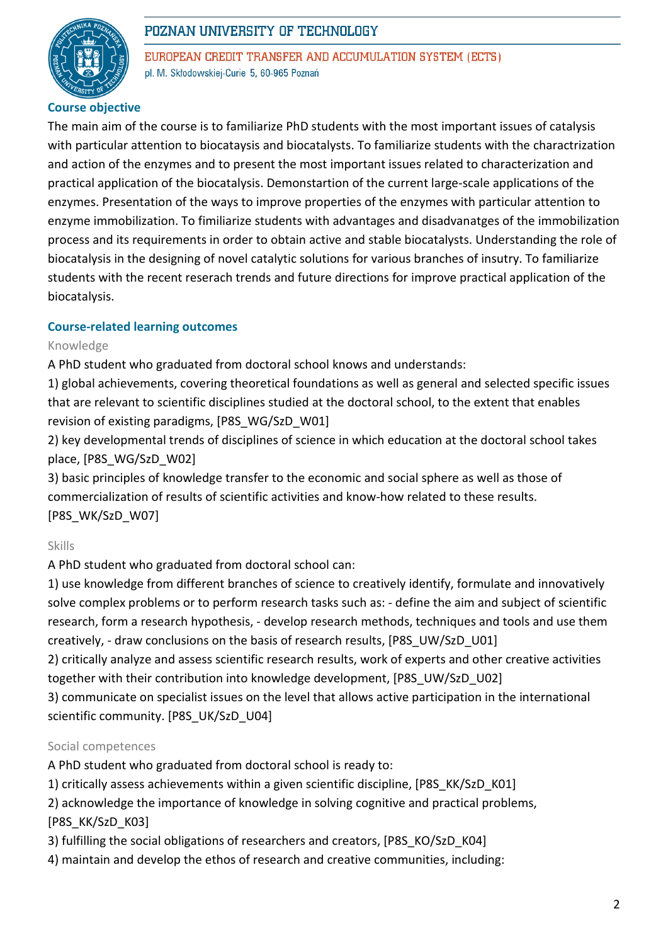

EUROPEAN CREDIT TRANSFER AND ACCUMULATION SYSTEM (ECTS) pl. M. Skłodowskiej-Curie 5, 60-965 Poznań

### **Course objective**

The main aim of the course is to familiarize PhD students with the most important issues of catalysis with particular attention to biocataysis and biocatalysts. To familiarize students with the charactrization and action of the enzymes and to present the most important issues related to characterization and practical application of the biocatalysis. Demonstartion of the current large-scale applications of the enzymes. Presentation of the ways to improve properties of the enzymes with particular attention to enzyme immobilization. To fimiliarize students with advantages and disadvanatges of the immobilization process and its requirements in order to obtain active and stable biocatalysts. Understanding the role of biocatalysis in the designing of novel catalytic solutions for various branches of insutry. To familiarize students with the recent reserach trends and future directions for improve practical application of the biocatalysis.

### **Course-related learning outcomes**

### Knowledge

A PhD student who graduated from doctoral school knows and understands:

1) global achievements, covering theoretical foundations as well as general and selected specific issues that are relevant to scientific disciplines studied at the doctoral school, to the extent that enables revision of existing paradigms, [P8S\_WG/SzD\_W01]

2) key developmental trends of disciplines of science in which education at the doctoral school takes place, [P8S\_WG/SzD\_W02]

3) basic principles of knowledge transfer to the economic and social sphere as well as those of commercialization of results of scientific activities and know-how related to these results. [P8S\_WK/SzD\_W07]

#### Skills

A PhD student who graduated from doctoral school can:

1) use knowledge from different branches of science to creatively identify, formulate and innovatively solve complex problems or to perform research tasks such as: - define the aim and subject of scientific research, form a research hypothesis, - develop research methods, techniques and tools and use them creatively, - draw conclusions on the basis of research results, [P8S\_UW/SzD\_U01]

2) critically analyze and assess scientific research results, work of experts and other creative activities together with their contribution into knowledge development, [P8S\_UW/SzD\_U02]

3) communicate on specialist issues on the level that allows active participation in the international scientific community. [P8S\_UK/SzD\_U04]

### Social competences

A PhD student who graduated from doctoral school is ready to:

- 1) critically assess achievements within a given scientific discipline, [P8S\_KK/SzD\_K01]
- 2) acknowledge the importance of knowledge in solving cognitive and practical problems, [P8S\_KK/SzD\_K03]
- 3) fulfilling the social obligations of researchers and creators, [P8S\_KO/SzD\_K04]
- 4) maintain and develop the ethos of research and creative communities, including: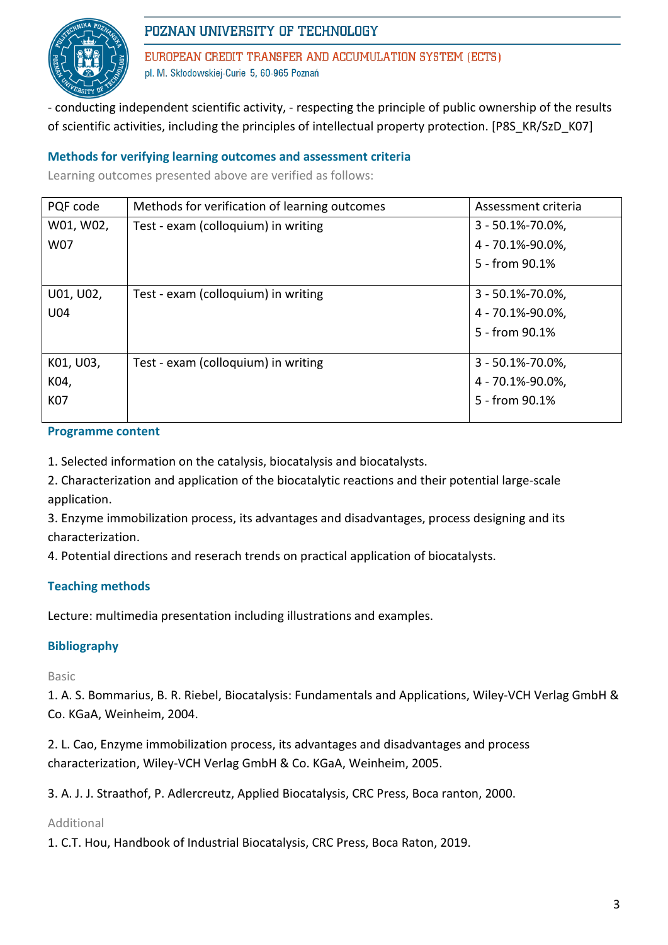

EUROPEAN CREDIT TRANSFER AND ACCUMULATION SYSTEM (ECTS) pl. M. Skłodowskiej-Curie 5, 60-965 Poznań

- conducting independent scientific activity, - respecting the principle of public ownership of the results of scientific activities, including the principles of intellectual property protection. [P8S\_KR/SzD\_K07]

### **Methods for verifying learning outcomes and assessment criteria**

Learning outcomes presented above are verified as follows:

| PQF code  | Methods for verification of learning outcomes | Assessment criteria   |
|-----------|-----------------------------------------------|-----------------------|
| W01, W02, | Test - exam (colloquium) in writing           | $3 - 50.1\% - 70.0\%$ |
| W07       |                                               | 4 - 70.1%-90.0%,      |
|           |                                               | 5 - from 90.1%        |
|           |                                               |                       |
| U01, U02, | Test - exam (colloquium) in writing           | $3 - 50.1\% - 70.0\%$ |
| U04       |                                               | 4 - 70.1%-90.0%,      |
|           |                                               | 5 - from 90.1%        |
|           |                                               |                       |
| K01, U03, | Test - exam (colloquium) in writing           | $3 - 50.1\% - 70.0\%$ |
| K04,      |                                               | 4 - 70.1%-90.0%,      |
| K07       |                                               | 5 - from 90.1%        |
|           |                                               |                       |

#### **Programme content**

1. Selected information on the catalysis, biocatalysis and biocatalysts.

2. Characterization and application of the biocatalytic reactions and their potential large-scale application.

3. Enzyme immobilization process, its advantages and disadvantages, process designing and its characterization.

4. Potential directions and reserach trends on practical application of biocatalysts.

### **Teaching methods**

Lecture: multimedia presentation including illustrations and examples.

### **Bibliography**

Basic

1. A. S. Bommarius, B. R. Riebel, Biocatalysis: Fundamentals and Applications, Wiley-VCH Verlag GmbH & Co. KGaA, Weinheim, 2004.

2. L. Cao, Enzyme immobilization process, its advantages and disadvantages and process characterization, Wiley-VCH Verlag GmbH & Co. KGaA, Weinheim, 2005.

3. A. J. J. Straathof, P. Adlercreutz, Applied Biocatalysis, CRC Press, Boca ranton, 2000.

#### Additional

1. C.T. Hou, Handbook of Industrial Biocatalysis, CRC Press, Boca Raton, 2019.